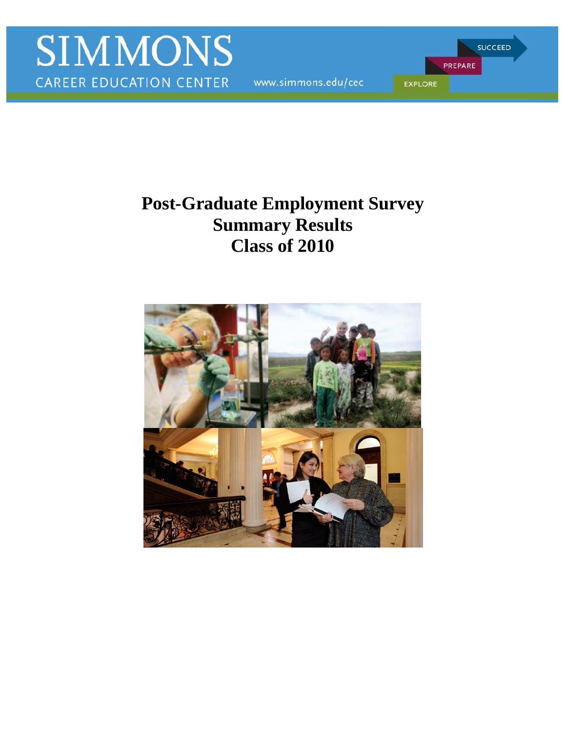www.simmons.edu/cec

PREPARE EXPLORE

**SUCCEED** 

# **Summary Results Post-Graduate Employment Survey Class of 2010**

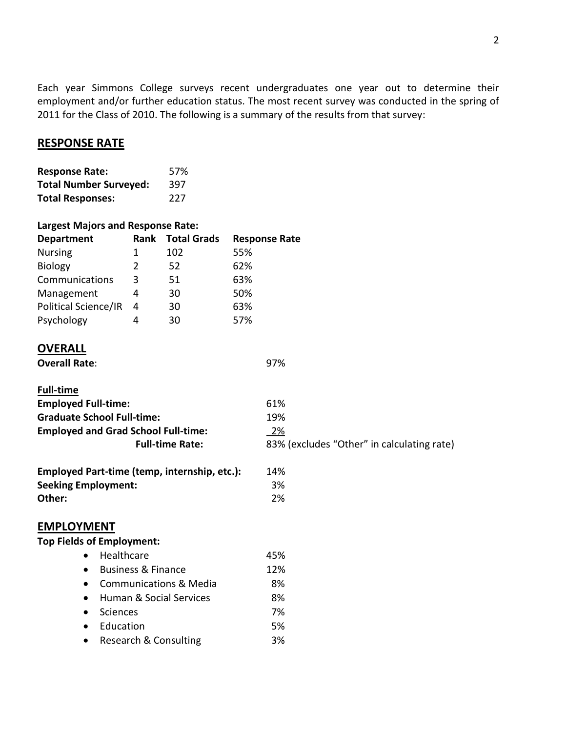Each year Simmons College surveys recent undergraduates one year out to determine their employment and/or further education status. The most recent survey was conducted in the spring of 2011 for the Class of 2010. The following is a summary of the results from that survey:

# **RESPONSE RATE**

| <b>Response Rate:</b>         | 57% |
|-------------------------------|-----|
| <b>Total Number Surveyed:</b> | 397 |
| <b>Total Responses:</b>       | 227 |

# **Largest Majors and Response Rate:**

| <b>Department</b>    | Rank | <b>Total Grads</b> | <b>Response Rate</b> |
|----------------------|------|--------------------|----------------------|
| <b>Nursing</b>       |      | 102                | 55%                  |
| <b>Biology</b>       | 2    | 52                 | 62%                  |
| Communications       | 3    | 51                 | 63%                  |
| Management           |      | 30                 | 50%                  |
| Political Science/IR | 4    | 30                 | 63%                  |
| Psychology           |      | 30                 | 57%                  |
|                      |      |                    |                      |

# **OVERALL**

| <b>Overall Rate:</b> | 97% |
|----------------------|-----|
|----------------------|-----|

| <b>Full-time</b>                           |                                            |
|--------------------------------------------|--------------------------------------------|
| <b>Employed Full-time:</b>                 | 61%                                        |
| <b>Graduate School Full-time:</b>          | 19%                                        |
| <b>Employed and Grad School Full-time:</b> | <u>2%</u>                                  |
| <b>Full-time Rate:</b>                     | 83% (excludes "Other" in calculating rate) |
|                                            |                                            |

| Employed Part-time (temp, internship, etc.): | 14% |
|----------------------------------------------|-----|
| <b>Seeking Employment:</b>                   | 3%  |
| Other:                                       | 2%  |

# **EMPLOYMENT**

# **Top Fields of Employment:**

| Healthcare                        | 45% |
|-----------------------------------|-----|
| <b>Business &amp; Finance</b>     | 12% |
| <b>Communications &amp; Media</b> | 8%  |
| Human & Social Services           | 8%  |
| Sciences                          | 7%  |
| Education                         | .5% |
| Research & Consulting             | २%  |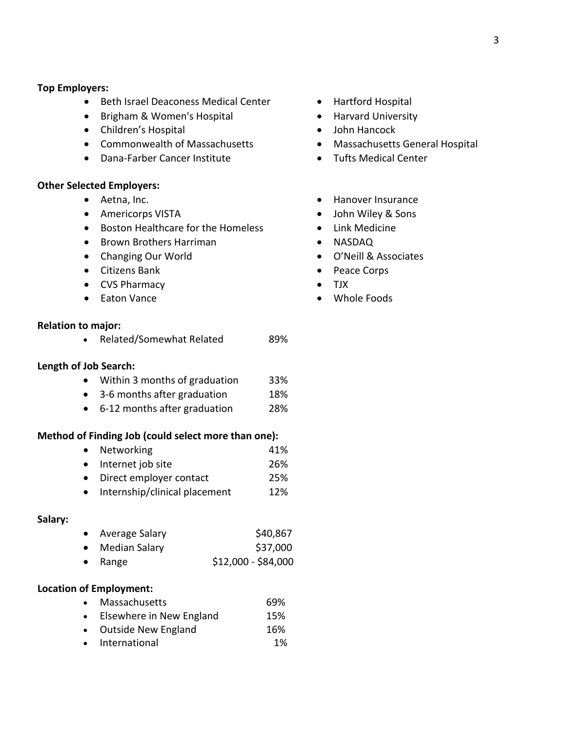#### **Top Employers:**

- Beth Israel Deaconess Medical Center
- Brigham & Women's Hospital
- Children's Hospital
- Commonwealth of Massachusetts
- Dana-Farber Cancer Institute

#### **Other Selected Employers:**

- Aetna, Inc.
- **•** Americorps VISTA
- Boston Healthcare for the Homeless
- Brown Brothers Harriman
- Changing Our World
- Citizens Bank
- CVS Pharmacy
- Eaton Vance

#### **Relation to major:**

• Related/Somewhat Related 89%

#### **Length of Job Search:**

- Within 3 months of graduation 33%
- 3-6 months after graduation 18%
- 6-12 months after graduation 28%

#### **Method of Finding Job (could select more than one):**

- Networking 41%
- Internet job site 26%
- Direct employer contact 25%
- Internship/clinical placement 12%

## **Salary:**

| Average Salary | \$40,867 |
|----------------|----------|
| Median Salary  | \$37,000 |

• Range \$12,000 - \$84,000

# **Location of Employment:**

| $\bullet$ | Massachusetts              | 69% |
|-----------|----------------------------|-----|
|           | Elsewhere in New England   | 15% |
| $\bullet$ | <b>Outside New England</b> | 16% |

• International 1%

- Hartford Hospital
- Harvard University
- John Hancock
- Massachusetts General Hospital
- Tufts Medical Center
- Hanover Insurance
- John Wiley & Sons
- Link Medicine
- NASDAQ
- O'Neill & Associates
- Peace Corps
- TJX
- Whole Foods